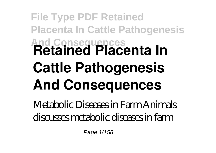## **File Type PDF Retained Placenta In Cattle Pathogenesis And Consequences Retained Placenta In Cattle Pathogenesis And Consequences**

Metabolic Diseases in Farm Animals discusses metabolic diseases in farm

Page 1/158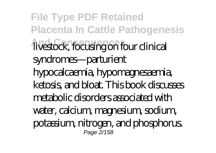**File Type PDF Retained Placenta In Cattle Pathogenesis And Consequences** livestock, focusing on four clinical syndromes—parturient hypocalcaemia, hypomagnesaemia, ketosis, and bloat. This book discusses metabolic disorders associated with water, calcium, magnesium, sodium, potassium, nitrogen, and phosphorus. Page 2/158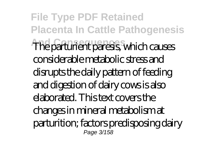**File Type PDF Retained Placenta In Cattle Pathogenesis And Consequences** The parturient paresis, which causes considerable metabolic stress and disrupts the daily pattern of feeding and digestion of dairy cows is also elaborated. This text covers the changes in mineral metabolism at parturition; factors predisposing dairy Page 3/158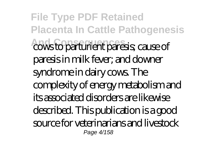**File Type PDF Retained Placenta In Cattle Pathogenesis And Consequences** cows to parturient paresis; cause of paresis in milk fever; and downer syndrome in dairy cows. The complexity of energy metabolism and its associated disorders are likewise described. This publication is a good source for veterinarians and livestock Page 4/158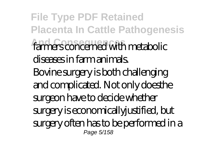**File Type PDF Retained Placenta In Cattle Pathogenesis** farmers concerned with metabolic diseases in farm animals. Bovine surgery is both challenging and complicated. Not only doesthe surgeon have to decide whether surgery is economicallyjustified, but surgery often has to be performed in a Page 5/158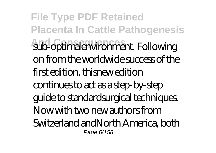**File Type PDF Retained Placenta In Cattle Pathogenesis And Consequences** sub-optimalenvironment. Following on from the worldwide success of the first edition, thisnew edition continues to act as a step-by-step guide to standardsurgical techniques. Now with two new authors from Switzerland andNorth America, both Page 6/158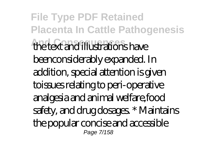**File Type PDF Retained Placenta In Cattle Pathogenesis And Consequences** the text and illustrations have beenconsiderably expanded. In addition, special attention is given toissues relating to peri-operative analgesia and animal welfare,food safety, and drug dosages. \* Maintains the popular concise and accessible Page 7/158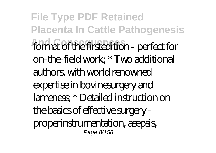**File Type PDF Retained Placenta In Cattle Pathogenesis** format of the firstedition - perfect for on-the-field work; \* Two additional authors, with world renowned expertise in bovinesurgery and lameness; \* Detailed instruction on the basics of effective surgery properinstrumentation, asepsis, Page 8/158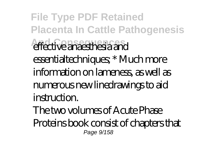**File Type PDF Retained Placenta In Cattle Pathogenesis And Consequences** effective anaesthesia and essentialtechniques; \* Much more information on lameness, as well as numerous new linedrawings to aid instruction. The two volumes of Acute Phase

Proteins book consist of chapters that Page 9/158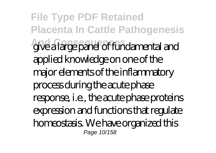**File Type PDF Retained Placenta In Cattle Pathogenesis And Consequences** give a large panel of fundamental and applied knowledge on one of the major elements of the inflammatory process during the acute phase response, i.e., the acute phase proteins expression and functions that regulate homeostasis. We have organized this Page 10/158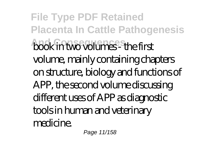**File Type PDF Retained Placenta In Cattle Pathogenesis And Consequences** book in two volumes - the first volume, mainly containing chapters on structure, biology and functions of APP, the second volume discussing different uses of APP as diagnostic tools in human and veterinary medicine.

Page 11/158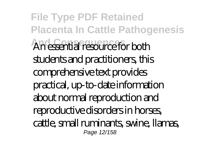**File Type PDF Retained Placenta In Cattle Pathogenesis And Consequences** An essential resource for both students and practitioners, this comprehensive text provides practical, up-to-date information about normal reproduction and reproductive disorders in horses, cattle, small ruminants, swine, llamas, Page 12/158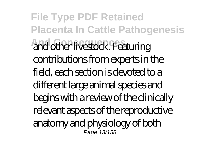**File Type PDF Retained Placenta In Cattle Pathogenesis And Consequences** and other livestock. Featuring contributions from experts in the field, each section is devoted to a different large animal species and begins with a review of the clinically relevant aspects of the reproductive anatomy and physiology of both Page 13/158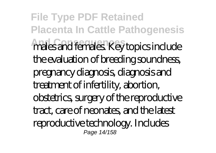**File Type PDF Retained Placenta In Cattle Pathogenesis** males and females. Key topics include the evaluation of breeding soundness, pregnancy diagnosis, diagnosis and treatment of infertility, abortion, obstetrics, surgery of the reproductive tract, care of neonates, and the latest reproductive technology. Includes Page 14/158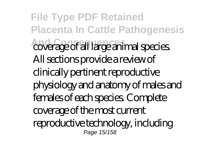**File Type PDF Retained Placenta In Cattle Pathogenesis And Consequences** coverage of all large animal species. All sections provide a review of clinically pertinent reproductive physiology and anatomy of males and females of each species. Complete coverage of the most current reproductive technology, including Page 15/158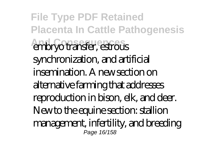**File Type PDF Retained Placenta In Cattle Pathogenesis And Consequences** embryo transfer, estrous synchronization, and artificial insemination. A new section on alternative farming that addresses reproduction in bison, elk, and deer. New to the equine section: stallion management, infertility, and breeding Page 16/158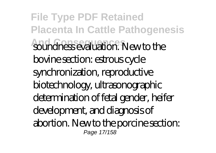**File Type PDF Retained Placenta In Cattle Pathogenesis** soundness evaluation. New to the bovine section: estrous cycle synchronization, reproductive biotechnology, ultrasonographic determination of fetal gender, heifer development, and diagnosis of abortion. New to the porcine section: Page 17/158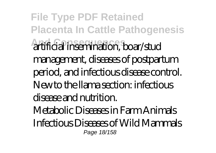**File Type PDF Retained Placenta In Cattle Pathogenesis And Consequences** artificial insemination, boar/stud management, diseases of postpartum period, and infectious disease control. New to the llama section: infectious disease and nutrition. Metabolic Diseases in Farm Animals Infectious Diseases of Wild Mammals Page 18/158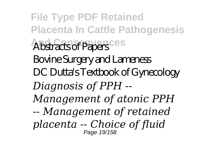**File Type PDF Retained Placenta In Cattle Pathogenesis** Abstracts of Papers Bovine Surgery and Lameness DC Dutta's Textbook of Gynecology *Diagnosis of PPH -- Management of atonic PPH -- Management of retained placenta -- Choice of fluid* Page 19/158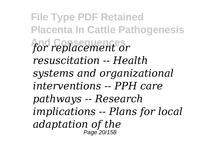**File Type PDF Retained Placenta In Cattle Pathogenesis And Consequences** *for replacement or resuscitation -- Health systems and organizational interventions -- PPH care pathways -- Research implications -- Plans for local adaptation of the* Page 20/158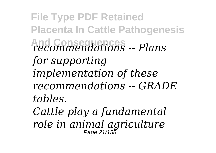**File Type PDF Retained Placenta In Cattle Pathogenesis And Consequences** *recommendations -- Plans for supporting implementation of these recommendations -- GRADE tables.*

*Cattle play a fundamental role in animal agriculture* Page 21/158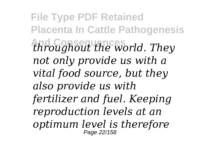**File Type PDF Retained Placenta In Cattle Pathogenesis And Consequences** *throughout the world. They not only provide us with a vital food source, but they also provide us with fertilizer and fuel. Keeping reproduction levels at an optimum level is therefore* Page 22/158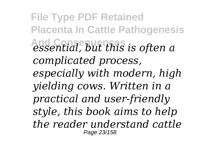**File Type PDF Retained Placenta In Cattle Pathogenesis And Consequences** *essential, but this is often a complicated process, especially with modern, high yielding cows. Written in a practical and user-friendly style, this book aims to help the reader understand cattle* Page 23/158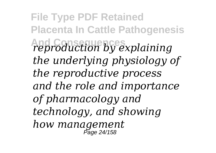**File Type PDF Retained Placenta In Cattle Pathogenesis And Consequences** *reproduction by explaining the underlying physiology of the reproductive process and the role and importance of pharmacology and technology, and showing how management* Page 24/158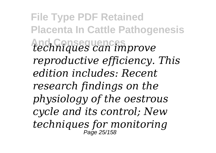**File Type PDF Retained Placenta In Cattle Pathogenesis And Consequences** *techniques can improve reproductive efficiency. This edition includes: Recent research findings on the physiology of the oestrous cycle and its control; New techniques for monitoring* Page 25/158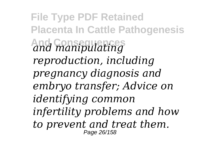**File Type PDF Retained Placenta In Cattle Pathogenesis And Consequences** *and manipulating reproduction, including pregnancy diagnosis and embryo transfer; Advice on identifying common infertility problems and how to prevent and treat them.* Page 26/158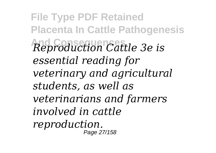**File Type PDF Retained Placenta In Cattle Pathogenesis And Consequences** *Reproduction Cattle 3e is essential reading for veterinary and agricultural students, as well as veterinarians and farmers involved in cattle reproduction.* Page 27/158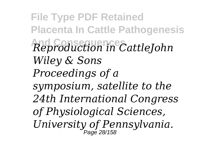**File Type PDF Retained Placenta In Cattle Pathogenesis And Consequences** *Reproduction in CattleJohn Wiley & Sons Proceedings of a symposium, satellite to the 24th International Congress of Physiological Sciences, University of Pennsylvania.* Page 28/158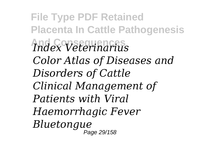**File Type PDF Retained Placenta In Cattle Pathogenesis And Consequences** *Index Veterinarius Color Atlas of Diseases and Disorders of Cattle Clinical Management of Patients with Viral Haemorrhagic Fever Bluetongue* Page 29/158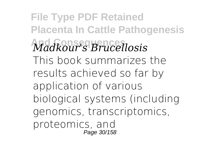**File Type PDF Retained Placenta In Cattle Pathogenesis And Consequences** *Madkour's Brucellosis* This book summarizes the results achieved so far by application of various biological systems (including genomics, transcriptomics, proteomics, and Page 30/158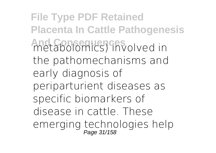**File Type PDF Retained Placenta In Cattle Pathogenesis And Consequences** metabolomics) involved in the pathomechanisms and early diagnosis of periparturient diseases as specific biomarkers of disease in cattle. These emerging technologies help Page 31/158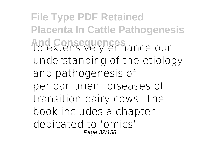**File Type PDF Retained Placenta In Cattle Pathogenesis And Consequences** to extensively enhance our understanding of the etiology and pathogenesis of periparturient diseases of transition dairy cows. The book includes a chapter dedicated to 'omics' Page 32/158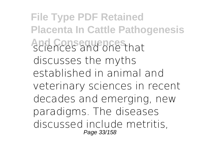**File Type PDF Retained Placenta In Cattle Pathogenesis And Consequences** sciences and one that discusses the myths established in animal and veterinary sciences in recent decades and emerging, new paradigms. The diseases discussed include metritis, Page 33/158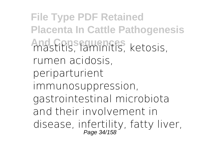**File Type PDF Retained Placenta In Cattle Pathogenesis And Consequences** mastitis, laminitis, ketosis, rumen acidosis, periparturient immunosuppression, gastrointestinal microbiota and their involvement in disease, infertility, fatty liver,<br>Page 34/158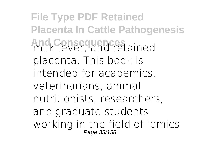**File Type PDF Retained Placenta In Cattle Pathogenesis And Consequences** milk fever, and retained placenta. This book is intended for academics, veterinarians, animal nutritionists, researchers, and graduate students working in the field of 'omics Page 35/158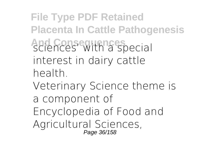**File Type PDF Retained Placenta In Cattle Pathogenesis And Consequences** sciences' with a special interest in dairy cattle health.

Veterinary Science theme is a component of Encyclopedia of Food and Agricultural Sciences, Page 36/158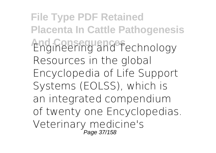**File Type PDF Retained Placenta In Cattle Pathogenesis And Consequences** Engineering and Technology Resources in the global Encyclopedia of Life Support Systems (EOLSS), which is an integrated compendium of twenty one Encyclopedias. Veterinary medicine's Page 37/158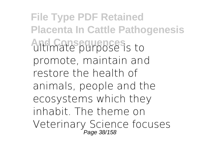**File Type PDF Retained Placenta In Cattle Pathogenesis And Consequences** is to promote, maintain and restore the health of animals, people and the ecosystems which they inhabit. The theme on Veterinary Science focuses<br>Page 38/158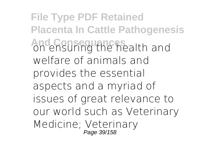**File Type PDF Retained Placenta In Cattle Pathogenesis And Consequences** on ensuring the health and welfare of animals and provides the essential aspects and a myriad of issues of great relevance to our world such as Veterinary Medicine; Veterinary Page 39/158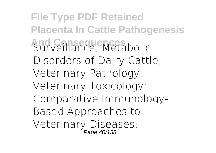**File Type PDF Retained Placenta In Cattle Pathogenesis And Consequences** Surveillance; Metabolic Disorders of Dairy Cattle; Veterinary Pathology; Veterinary Toxicology; Comparative Immunology-Based Approaches to Veterinary Diseases; Page 40/158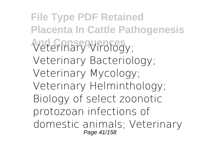**File Type PDF Retained Placenta In Cattle Pathogenesis And Consequences** Veterinary Virology; Veterinary Bacteriology; Veterinary Mycology; Veterinary Helminthology; Biology of select zoonotic protozoan infections of domestic animals; Veterinary Page 41/158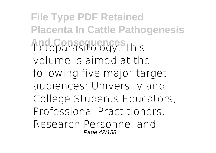**File Type PDF Retained Placenta In Cattle Pathogenesis And Consequences** Ectoparasitology. This volume is aimed at the following five major target audiences: University and College Students Educators, Professional Practitioners, Research Personnel and Page 42/158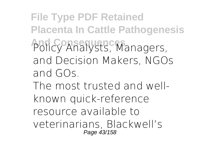**File Type PDF Retained Placenta In Cattle Pathogenesis** Policy Analysts, Managers, and Decision Makers, NGOs and GOs. The most trusted and wellknown quick-reference resource available to

veterinarians, Blackwell's Page 43/158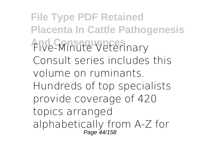**File Type PDF Retained Placenta In Cattle Pathogenesis And Consequences** Five-Minute Veterinary Consult series includes this volume on ruminants. Hundreds of top specialists provide coverage of 420 topics arranged alphabetically from A-Z for Page 44/158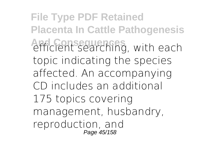**File Type PDF Retained Placenta In Cattle Pathogenesis And Consequences** efficient searching, with each topic indicating the species affected. An accompanying CD includes an additional 175 topics covering management, husbandry, reproduction, and Page 45/158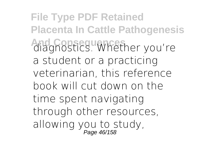**File Type PDF Retained Placenta In Cattle Pathogenesis And Consequences** diagnostics. Whether you're a student or a practicing veterinarian, this reference book will cut down on the time spent navigating through other resources, allowing you to study,<br>Page 46/158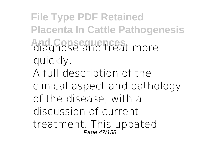**File Type PDF Retained Placenta In Cattle Pathogenesis And Consequences** diagnose and treat more quickly. A full description of the clinical aspect and pathology of the disease, with a discussion of current treatment. This updated<br>*Page 47/158*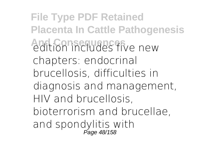**File Type PDF Retained Placenta In Cattle Pathogenesis And Consequences** edition includes five new chapters: endocrinal brucellosis, difficulties in diagnosis and management, HIV and brucellosis, bioterrorism and brucellae, and spondylitis with<br>Page 48/158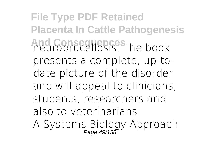**File Type PDF Retained Placenta In Cattle Pathogenesis And Consequences** neurobrucellosis. The book presents a complete, up-todate picture of the disorder and will appeal to clinicians, students, researchers and also to veterinarians. A Systems Biology Approach<br>Page 49/158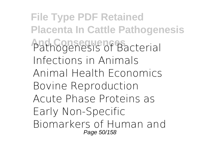**File Type PDF Retained Placenta In Cattle Pathogenesis** Pathogenesis of Bacterial Infections in Animals Animal Health Economics Bovine Reproduction Acute Phase Proteins as Early Non-Specific Biomarkers of Human and Page 50/158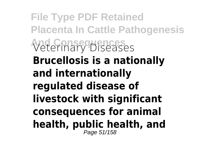**File Type PDF Retained Placenta In Cattle Pathogenesis And Consequences** Veterinary Diseases **Brucellosis is a nationally and internationally regulated disease of livestock with significant consequences for animal health, public health, and** Page 51/158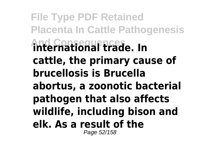**File Type PDF Retained Placenta In Cattle Pathogenesis And Consequences international trade. In cattle, the primary cause of brucellosis is Brucella abortus, a zoonotic bacterial pathogen that also affects wildlife, including bison and elk. As a result of the** Page 52/158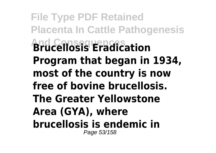**File Type PDF Retained Placenta In Cattle Pathogenesis And Consequences Brucellosis Eradication Program that began in 1934, most of the country is now free of bovine brucellosis. The Greater Yellowstone Area (GYA), where brucellosis is endemic in** Page 53/158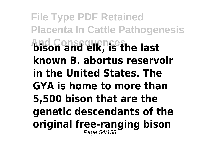**File Type PDF Retained Placenta In Cattle Pathogenesis And Consequences bison and elk, is the last known B. abortus reservoir in the United States. The GYA is home to more than 5,500 bison that are the genetic descendants of the original free-ranging bison** Page 54/158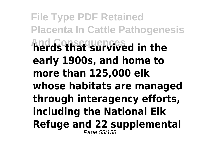**File Type PDF Retained Placenta In Cattle Pathogenesis And Consequences herds that survived in the early 1900s, and home to more than 125,000 elk whose habitats are managed through interagency efforts, including the National Elk Refuge and 22 supplemental** Page 55/158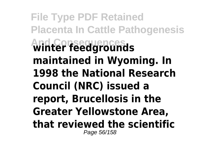**File Type PDF Retained Placenta In Cattle Pathogenesis And Consequences winter feedgrounds maintained in Wyoming. In 1998 the National Research Council (NRC) issued a report, Brucellosis in the Greater Yellowstone Area, that reviewed the scientific** Page 56/158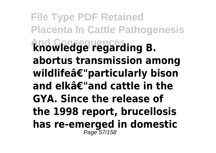**File Type PDF Retained Placenta In Cattle Pathogenesis And Consequences knowledge regarding B. abortus transmission among wildlifeâ€"particularly bison and elkâ€"and cattle in the GYA. Since the release of the 1998 report, brucellosis has re-emerged in domestic** Page 57/158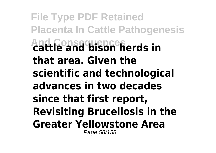**File Type PDF Retained Placenta In Cattle Pathogenesis And Consequences cattle and bison herds in that area. Given the scientific and technological advances in two decades since that first report, Revisiting Brucellosis in the Greater Yellowstone Area** Page 58/158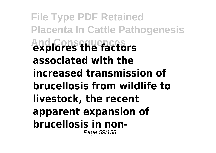**File Type PDF Retained Placenta In Cattle Pathogenesis And Consequences explores the factors associated with the increased transmission of brucellosis from wildlife to livestock, the recent apparent expansion of brucellosis in non-**Page 59/158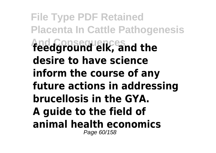**File Type PDF Retained Placenta In Cattle Pathogenesis And Consequences feedground elk, and the desire to have science inform the course of any future actions in addressing brucellosis in the GYA. A guide to the field of animal health economics** Page 60/158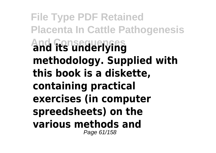**File Type PDF Retained Placenta In Cattle Pathogenesis And Consequences and its underlying methodology. Supplied with this book is a diskette, containing practical exercises (in computer spreedsheets) on the various methods and** Page 61/158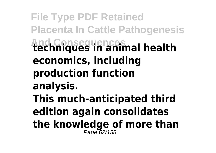**File Type PDF Retained Placenta In Cattle Pathogenesis And Consequences techniques in animal health economics, including production function analysis. This much-anticipated third edition again consolidates the knowledge of more than** Page 62/158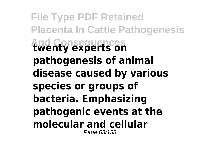**File Type PDF Retained Placenta In Cattle Pathogenesis And Consequences twenty experts on pathogenesis of animal disease caused by various species or groups of bacteria. Emphasizing pathogenic events at the molecular and cellular** Page 63/158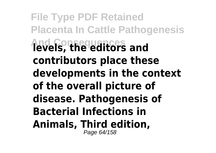**File Type PDF Retained Placenta In Cattle Pathogenesis And Consequences levels, the editors and contributors place these developments in the context of the overall picture of disease. Pathogenesis of Bacterial Infections in Animals, Third edition,** Page 64/158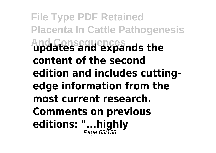**File Type PDF Retained Placenta In Cattle Pathogenesis And Consequences updates and expands the content of the second edition and includes cuttingedge information from the most current research. Comments on previous editions: "...highly** Page 65/158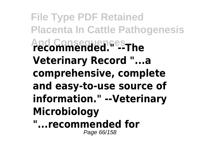**File Type PDF Retained Placenta In Cattle Pathogenesis And Consequences recommended." --The Veterinary Record "...a comprehensive, complete and easy-to-use source of information." --Veterinary Microbiology "...recommended for**

Page 66/158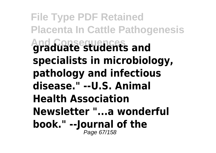**File Type PDF Retained Placenta In Cattle Pathogenesis And Consequences graduate students and specialists in microbiology, pathology and infectious disease." --U.S. Animal Health Association Newsletter "...a wonderful book." --Journal of the** Page 67/158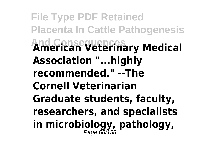**File Type PDF Retained Placenta In Cattle Pathogenesis And Consequences American Veterinary Medical Association "...highly recommended." --The Cornell Veterinarian Graduate students, faculty, researchers, and specialists in microbiology, pathology,** Page 68/158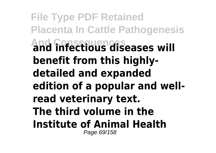**File Type PDF Retained Placenta In Cattle Pathogenesis And Consequences and infectious diseases will benefit from this highlydetailed and expanded edition of a popular and wellread veterinary text. The third volume in the Institute of Animal Health** Page 69/158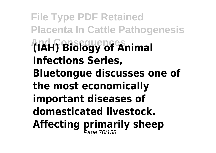**File Type PDF Retained Placenta In Cattle Pathogenesis And Consequences (IAH) Biology of Animal Infections Series, Bluetongue discusses one of the most economically important diseases of domesticated livestock. Affecting primarily sheep** Page 70/158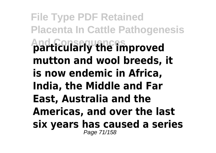**File Type PDF Retained Placenta In Cattle Pathogenesis And Consequences particularly the improved mutton and wool breeds, it is now endemic in Africa, India, the Middle and Far East, Australia and the Americas, and over the last six years has caused a series** Page 71/158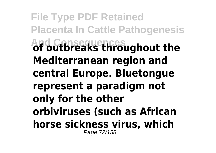**File Type PDF Retained Placenta In Cattle Pathogenesis And Consequences of outbreaks throughout the Mediterranean region and central Europe. Bluetongue represent a paradigm not only for the other orbiviruses (such as African horse sickness virus, which** Page 72/158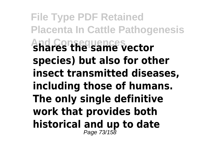**File Type PDF Retained Placenta In Cattle Pathogenesis And Consequences shares the same vector species) but also for other insect transmitted diseases, including those of humans. The only single definitive work that provides both historical and up to date** Page 73/158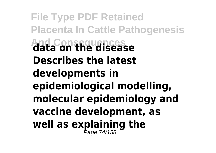**File Type PDF Retained Placenta In Cattle Pathogenesis And Consequences data on the disease Describes the latest developments in epidemiological modelling, molecular epidemiology and vaccine development, as well as explaining the** Page 74/158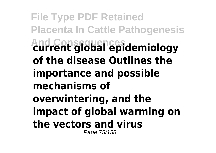**File Type PDF Retained Placenta In Cattle Pathogenesis And Consequences current global epidemiology of the disease Outlines the importance and possible mechanisms of overwintering, and the impact of global warming on the vectors and virus** Page 75/158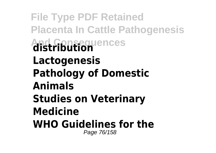**File Type PDF Retained Placenta In Cattle Pathogenesis And Consequences distribution Lactogenesis Pathology of Domestic Animals Studies on Veterinary Medicine WHO Guidelines for the** Page 76/158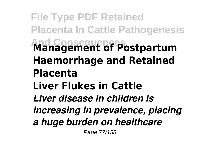**File Type PDF Retained Placenta In Cattle Pathogenesis And Consequences Management of Postpartum Haemorrhage and Retained Placenta Liver Flukes in Cattle** *Liver disease in children is increasing in prevalence, placing a huge burden on healthcare*

Page 77/158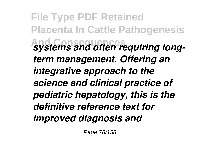**File Type PDF Retained Placenta In Cattle Pathogenesis And Consequences** *systems and often requiring longterm management. Offering an integrative approach to the science and clinical practice of pediatric hepatology, this is the definitive reference text for improved diagnosis and*

Page 78/158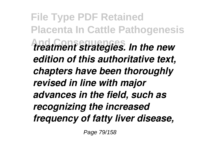**File Type PDF Retained Placenta In Cattle Pathogenesis And Consequences** *treatment strategies. In the new edition of this authoritative text, chapters have been thoroughly revised in line with major advances in the field, such as recognizing the increased frequency of fatty liver disease,*

Page 79/158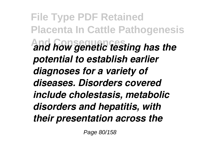**File Type PDF Retained Placenta In Cattle Pathogenesis And Consequences** *and how genetic testing has the potential to establish earlier diagnoses for a variety of diseases. Disorders covered include cholestasis, metabolic disorders and hepatitis, with their presentation across the*

Page 80/158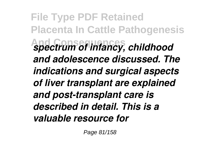**File Type PDF Retained Placenta In Cattle Pathogenesis And Consequences** *spectrum of infancy, childhood and adolescence discussed. The indications and surgical aspects of liver transplant are explained and post-transplant care is described in detail. This is a valuable resource for*

Page 81/158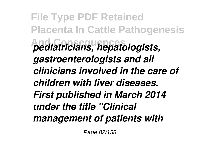**File Type PDF Retained Placenta In Cattle Pathogenesis And Consequences** *pediatricians, hepatologists, gastroenterologists and all clinicians involved in the care of children with liver diseases. First published in March 2014 under the title "Clinical management of patients with*

Page 82/158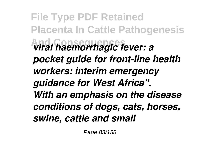**File Type PDF Retained Placenta In Cattle Pathogenesis And Consequences** *viral haemorrhagic fever: a pocket guide for front-line health workers: interim emergency guidance for West Africa". With an emphasis on the disease conditions of dogs, cats, horses, swine, cattle and small*

Page 83/158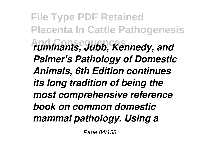**File Type PDF Retained Placenta In Cattle Pathogenesis And Consequences** *ruminants, Jubb, Kennedy, and Palmer's Pathology of Domestic Animals, 6th Edition continues its long tradition of being the most comprehensive reference book on common domestic mammal pathology. Using a*

Page 84/158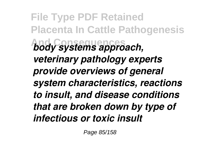**File Type PDF Retained Placenta In Cattle Pathogenesis And Consequences** *body systems approach, veterinary pathology experts provide overviews of general system characteristics, reactions to insult, and disease conditions that are broken down by type of infectious or toxic insult*

Page 85/158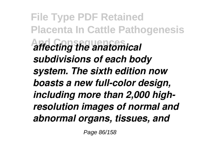**File Type PDF Retained Placenta In Cattle Pathogenesis And Consequences** *affecting the anatomical subdivisions of each body system. The sixth edition now boasts a new full-color design, including more than 2,000 highresolution images of normal and abnormal organs, tissues, and*

Page 86/158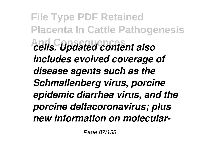**File Type PDF Retained Placenta In Cattle Pathogenesis And Consequences** *cells. Updated content also includes evolved coverage of disease agents such as the Schmallenberg virus, porcine epidemic diarrhea virus, and the porcine deltacoronavirus; plus new information on molecular-*

Page 87/158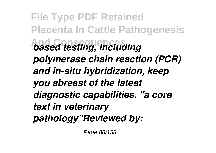**File Type PDF Retained Placenta In Cattle Pathogenesis And Consequences** *based testing, including polymerase chain reaction (PCR) and in-situ hybridization, keep you abreast of the latest diagnostic capabilities. "a core text in veterinary pathology"Reviewed by:*

Page 88/158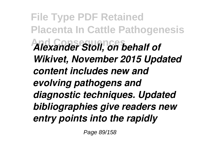**File Type PDF Retained Placenta In Cattle Pathogenesis And Consequences** *Alexander Stoll, on behalf of Wikivet, November 2015 Updated content includes new and evolving pathogens and diagnostic techniques. Updated bibliographies give readers new entry points into the rapidly*

Page 89/158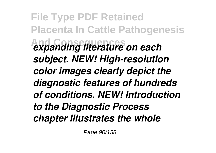**File Type PDF Retained Placenta In Cattle Pathogenesis And Consequences** *expanding literature on each subject. NEW! High-resolution color images clearly depict the diagnostic features of hundreds of conditions. NEW! Introduction to the Diagnostic Process chapter illustrates the whole*

Page 90/158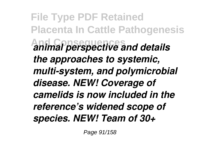**File Type PDF Retained Placenta In Cattle Pathogenesis And Consequences** *animal perspective and details the approaches to systemic, multi-system, and polymicrobial disease. NEW! Coverage of camelids is now included in the reference's widened scope of species. NEW! Team of 30+*

Page 91/158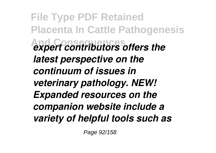**File Type PDF Retained Placenta In Cattle Pathogenesis And Consequences** *expert contributors offers the latest perspective on the continuum of issues in veterinary pathology. NEW! Expanded resources on the companion website include a variety of helpful tools such as*

Page 92/158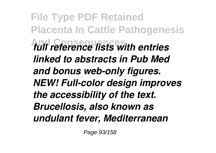**File Type PDF Retained Placenta In Cattle Pathogenesis And Consequences** *full reference lists with entries linked to abstracts in Pub Med and bonus web-only figures. NEW! Full-color design improves the accessibility of the text. Brucellosis, also known as undulant fever, Mediterranean*

Page 93/158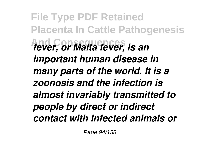**File Type PDF Retained Placenta In Cattle Pathogenesis And Consequences** *fever, or Malta fever, is an important human disease in many parts of the world. It is a zoonosis and the infection is almost invariably transmitted to people by direct or indirect contact with infected animals or*

Page 94/158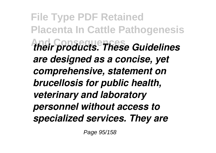**File Type PDF Retained Placenta In Cattle Pathogenesis And Consequences** *their products. These Guidelines are designed as a concise, yet comprehensive, statement on brucellosis for public health, veterinary and laboratory personnel without access to specialized services. They are*

Page 95/158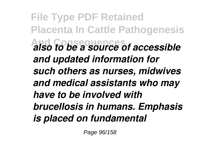**File Type PDF Retained Placenta In Cattle Pathogenesis And Consequences** *also to be a source of accessible and updated information for such others as nurses, midwives and medical assistants who may have to be involved with brucellosis in humans. Emphasis is placed on fundamental*

Page 96/158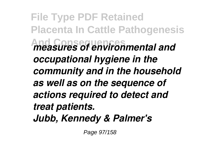**File Type PDF Retained Placenta In Cattle Pathogenesis And Consequences** *measures of environmental and occupational hygiene in the community and in the household as well as on the sequence of actions required to detect and treat patients. Jubb, Kennedy & Palmer's*

Page 97/158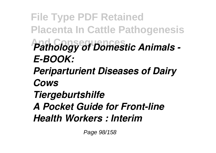**File Type PDF Retained Placenta In Cattle Pathogenesis Pathology of Domestic Animals -***E-BOOK: Periparturient Diseases of Dairy Cows Tiergeburtshilfe A Pocket Guide for Front-line Health Workers : Interim*

Page 98/158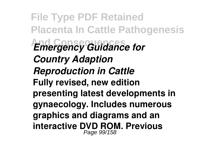**File Type PDF Retained Placenta In Cattle Pathogenesis** *And Consequency Guidance for Country Adaption Reproduction in Cattle* **Fully revised, new edition presenting latest developments in gynaecology. Includes numerous graphics and diagrams and an interactive DVD ROM. Previous** Page 99/158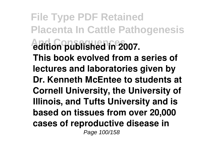**File Type PDF Retained Placenta In Cattle Pathogenesis And Consequences edition published in 2007. This book evolved from a series of lectures and laboratories given by Dr. Kenneth McEntee to students at Cornell University, the University of Illinois, and Tufts University and is based on tissues from over 20,000 cases of reproductive disease in** Page 100/158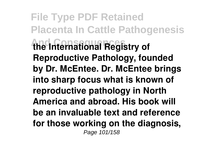**File Type PDF Retained Placenta In Cattle Pathogenesis And Consequences the International Registry of Reproductive Pathology, founded by Dr. McEntee. Dr. McEntee brings into sharp focus what is known of reproductive pathology in North America and abroad. His book will be an invaluable text and reference for those working on the diagnosis,** Page 101/158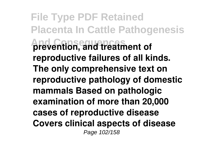**File Type PDF Retained Placenta In Cattle Pathogenesis And Consequences prevention, and treatment of reproductive failures of all kinds. The only comprehensive text on reproductive pathology of domestic mammals Based on pathologic examination of more than 20,000 cases of reproductive disease Covers clinical aspects of disease** Page 102/158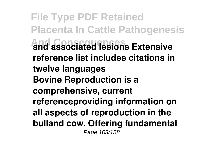**File Type PDF Retained Placenta In Cattle Pathogenesis And Consequences and associated lesions Extensive reference list includes citations in twelve languages Bovine Reproduction is a comprehensive, current referenceproviding information on all aspects of reproduction in the bulland cow. Offering fundamental** Page 103/158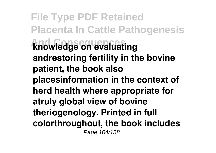**File Type PDF Retained Placenta In Cattle Pathogenesis And Consequences knowledge on evaluating andrestoring fertility in the bovine patient, the book also placesinformation in the context of herd health where appropriate for atruly global view of bovine theriogenology. Printed in full colorthroughout, the book includes** Page 104/158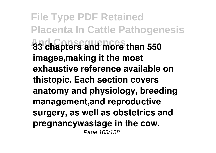**File Type PDF Retained Placenta In Cattle Pathogenesis And Consequences 83 chapters and more than 550 images,making it the most exhaustive reference available on thistopic. Each section covers anatomy and physiology, breeding management,and reproductive surgery, as well as obstetrics and pregnancywastage in the cow.** Page 105/158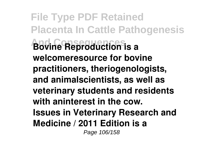**File Type PDF Retained Placenta In Cattle Pathogenesis And Consequences Bovine Reproduction is a welcomeresource for bovine practitioners, theriogenologists, and animalscientists, as well as veterinary students and residents with aninterest in the cow. Issues in Veterinary Research and Medicine / 2011 Edition is a** Page 106/158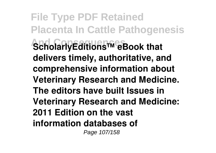**File Type PDF Retained Placenta In Cattle Pathogenesis And ScholarlyEditions™ eBook that delivers timely, authoritative, and comprehensive information about Veterinary Research and Medicine. The editors have built Issues in Veterinary Research and Medicine: 2011 Edition on the vast information databases of** Page 107/158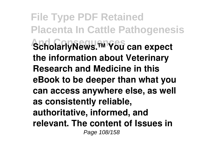**File Type PDF Retained Placenta In Cattle Pathogenesis And Consequences ScholarlyNews.™ You can expect the information about Veterinary Research and Medicine in this eBook to be deeper than what you can access anywhere else, as well as consistently reliable, authoritative, informed, and relevant. The content of Issues in** Page 108/158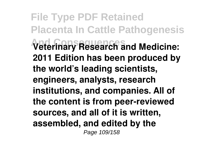**File Type PDF Retained Placenta In Cattle Pathogenesis And Consequences Veterinary Research and Medicine: 2011 Edition has been produced by the world's leading scientists, engineers, analysts, research institutions, and companies. All of the content is from peer-reviewed sources, and all of it is written, assembled, and edited by the** Page 109/158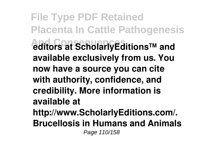**File Type PDF Retained Placenta In Cattle Pathogenesis And Consequences editors at ScholarlyEditions™ and available exclusively from us. You now have a source you can cite with authority, confidence, and credibility. More information is available at http://www.ScholarlyEditions.com/. Brucellosis in Humans and Animals** Page 110/158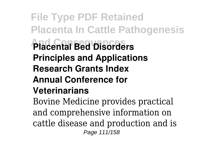## **File Type PDF Retained Placenta In Cattle Pathogenesis And Consequences Placental Bed Disorders Principles and Applications Research Grants Index Annual Conference for Veterinarians**

Bovine Medicine provides practical and comprehensive information on cattle disease and production and is Page 111/158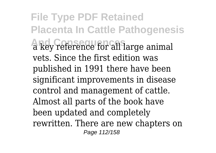**File Type PDF Retained Placenta In Cattle Pathogenesis And Consequences** a key reference for all large animal vets. Since the first edition was published in 1991 there have been significant improvements in disease control and management of cattle. Almost all parts of the book have been updated and completely rewritten. There are new chapters on Page 112/158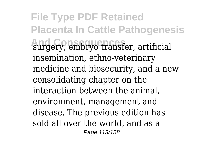**File Type PDF Retained Placenta In Cattle Pathogenesis And Consequences** surgery, embryo transfer, artificial insemination, ethno-veterinary medicine and biosecurity, and a new consolidating chapter on the interaction between the animal, environment, management and disease. The previous edition has sold all over the world, and as a Page 113/158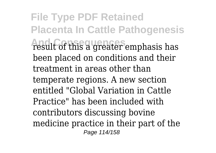**File Type PDF Retained Placenta In Cattle Pathogenesis And Consequences** result of this a greater emphasis has been placed on conditions and their treatment in areas other than temperate regions. A new section entitled "Global Variation in Cattle Practice" has been included with contributors discussing bovine medicine practice in their part of the Page 114/158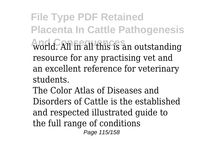**File Type PDF Retained Placenta In Cattle Pathogenesis And Consequences** world. All in all this is an outstanding resource for any practising vet and an excellent reference for veterinary students.

The Color Atlas of Diseases and Disorders of Cattle is the established and respected illustrated guide to the full range of conditions Page 115/158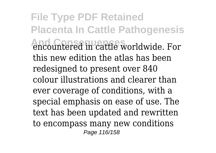**File Type PDF Retained Placenta In Cattle Pathogenesis And Consequences** encountered in cattle worldwide. For this new edition the atlas has been redesigned to present over 840 colour illustrations and clearer than ever coverage of conditions, with a special emphasis on ease of use. The text has been updated and rewritten to encompass many new conditions Page 116/158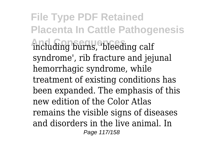**File Type PDF Retained Placenta In Cattle Pathogenesis** including burns, bleeding calf syndrome', rib fracture and jejunal hemorrhagic syndrome, while treatment of existing conditions has been expanded. The emphasis of this new edition of the Color Atlas remains the visible signs of diseases and disorders in the live animal. In Page 117/158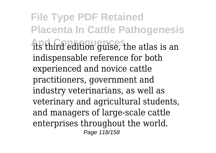**File Type PDF Retained Placenta In Cattle Pathogenesis And Consequences** its third edition guise, the atlas is an indispensable reference for both experienced and novice cattle practitioners, government and industry veterinarians, as well as veterinary and agricultural students, and managers of large-scale cattle enterprises throughout the world. Page 118/158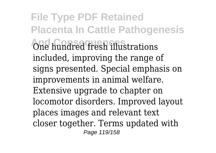**File Type PDF Retained Placenta In Cattle Pathogenesis And Consequences** One hundred fresh illustrations included, improving the range of signs presented. Special emphasis on improvements in animal welfare. Extensive upgrade to chapter on locomotor disorders. Improved layout places images and relevant text closer together. Terms updated with Page 119/158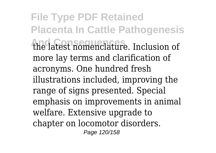**File Type PDF Retained Placenta In Cattle Pathogenesis And Consequences** the latest nomenclature. Inclusion of more lay terms and clarification of acronyms. One hundred fresh illustrations included, improving the range of signs presented. Special emphasis on improvements in animal welfare. Extensive upgrade to chapter on locomotor disorders. Page 120/158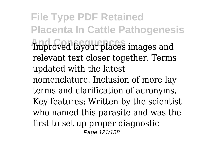**File Type PDF Retained Placenta In Cattle Pathogenesis And Consequences** Improved layout places images and relevant text closer together. Terms updated with the latest nomenclature. Inclusion of more lay terms and clarification of acronyms. Key features: Written by the scientist who named this parasite and was the first to set up proper diagnostic Page 121/158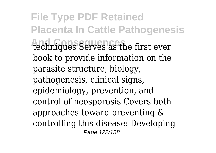**File Type PDF Retained Placenta In Cattle Pathogenesis** techniques Serves as the first ever book to provide information on the parasite structure, biology, pathogenesis, clinical signs, epidemiology, prevention, and control of neosporosis Covers both approaches toward preventing & controlling this disease: Developing Page 122/158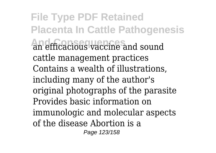**File Type PDF Retained Placenta In Cattle Pathogenesis And Consequences** an efficacious vaccine and sound cattle management practices Contains a wealth of illustrations, including many of the author's original photographs of the parasite Provides basic information on immunologic and molecular aspects of the disease Abortion is a Page 123/158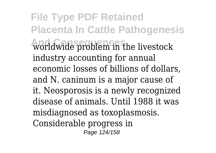**File Type PDF Retained Placenta In Cattle Pathogenesis And Consequences** worldwide problem in the livestock industry accounting for annual economic losses of billions of dollars, and N. caninum is a major cause of it. Neosporosis is a newly recognized disease of animals. Until 1988 it was misdiagnosed as toxoplasmosis. Considerable progress in Page 124/158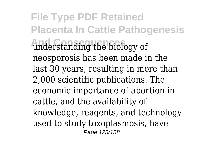**File Type PDF Retained Placenta In Cattle Pathogenesis And Consequences** understanding the biology of neosporosis has been made in the last 30 years, resulting in more than 2,000 scientific publications. The economic importance of abortion in cattle, and the availability of knowledge, reagents, and technology used to study toxoplasmosis, have Page 125/158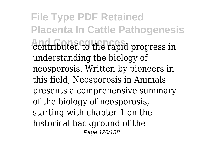**File Type PDF Retained Placenta In Cattle Pathogenesis** contributed to the rapid progress in understanding the biology of neosporosis. Written by pioneers in this field, Neosporosis in Animals presents a comprehensive summary of the biology of neosporosis, starting with chapter 1 on the historical background of the Page 126/158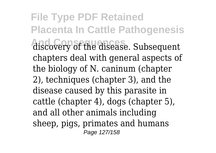**File Type PDF Retained Placenta In Cattle Pathogenesis** discovery of the disease. Subsequent chapters deal with general aspects of the biology of N. caninum (chapter 2), techniques (chapter 3), and the disease caused by this parasite in cattle (chapter 4), dogs (chapter 5), and all other animals including sheep, pigs, primates and humans Page 127/158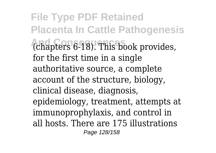**File Type PDF Retained Placenta In Cattle Pathogenesis** (chapters 6-18). This book provides, for the first time in a single authoritative source, a complete account of the structure, biology, clinical disease, diagnosis, epidemiology, treatment, attempts at immunoprophylaxis, and control in all hosts. There are 175 illustrations Page 128/158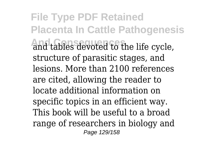**File Type PDF Retained Placenta In Cattle Pathogenesis** and tables devoted to the life cycle, structure of parasitic stages, and lesions. More than 2100 references are cited, allowing the reader to locate additional information on specific topics in an efficient way. This book will be useful to a broad range of researchers in biology and Page 129/158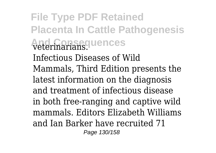**File Type PDF Retained Placenta In Cattle Pathogenesis And Consequences** veterinarians. Infectious Diseases of Wild Mammals, Third Edition presents the latest information on the diagnosis and treatment of infectious disease in both free-ranging and captive wild mammals. Editors Elizabeth Williams and Ian Barker have recruited 71 Page 130/158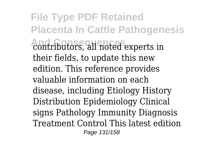**File Type PDF Retained Placenta In Cattle Pathogenesis** contributors, all noted experts in their fields, to update this new edition. This reference provides valuable information on each disease, including Etiology History Distribution Epidemiology Clinical signs Pathology Immunity Diagnosis Treatment Control This latest edition Page 131/158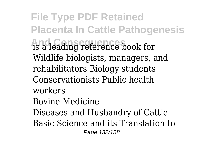**File Type PDF Retained Placenta In Cattle Pathogenesis And Consequences** is a leading reference book for Wildlife biologists, managers, and rehabilitators Biology students Conservationists Public health workers Bovine Medicine Diseases and Husbandry of Cattle Basic Science and its Translation to Page 132/158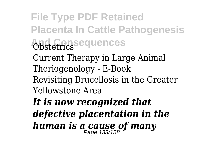**File Type PDF Retained Placenta In Cattle Pathogenesis And Consequences** Obstetrics Current Therapy in Large Animal Theriogenology - E-Book Revisiting Brucellosis in the Greater Yellowstone Area

*It is now recognized that defective placentation in the human is a cause of many* Page 133/158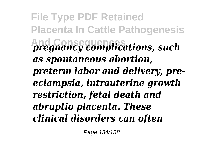**File Type PDF Retained Placenta In Cattle Pathogenesis And Consequences** *pregnancy complications, such as spontaneous abortion, preterm labor and delivery, preeclampsia, intrauterine growth restriction, fetal death and abruptio placenta. These clinical disorders can often*

Page 134/158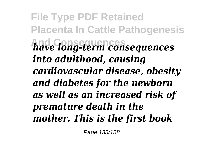**File Type PDF Retained Placenta In Cattle Pathogenesis And Consequences** *have long-term consequences into adulthood, causing cardiovascular disease, obesity and diabetes for the newborn as well as an increased risk of premature death in the mother. This is the first book*

Page 135/158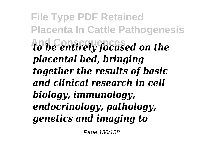**File Type PDF Retained Placenta In Cattle Pathogenesis And Consequences** *to be entirely focused on the placental bed, bringing together the results of basic and clinical research in cell biology, immunology, endocrinology, pathology, genetics and imaging to*

Page 136/158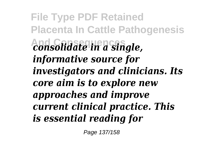**File Type PDF Retained Placenta In Cattle Pathogenesis And Consequences** *consolidate in a single, informative source for investigators and clinicians. Its core aim is to explore new approaches and improve current clinical practice. This is essential reading for*

Page 137/158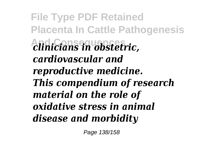**File Type PDF Retained Placenta In Cattle Pathogenesis And Consequences** *clinicians in obstetric, cardiovascular and reproductive medicine. This compendium of research material on the role of oxidative stress in animal disease and morbidity*

Page 138/158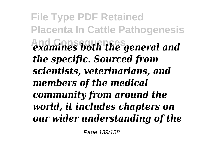**File Type PDF Retained Placenta In Cattle Pathogenesis And Consequences** *examines both the general and the specific. Sourced from scientists, veterinarians, and members of the medical community from around the world, it includes chapters on our wider understanding of the*

Page 139/158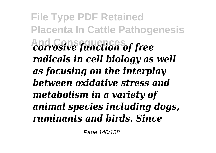**File Type PDF Retained Placenta In Cattle Pathogenesis And Consequences** *corrosive function of free radicals in cell biology as well as focusing on the interplay between oxidative stress and metabolism in a variety of animal species including dogs, ruminants and birds. Since*

Page 140/158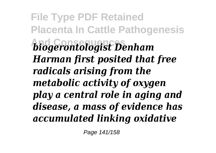**File Type PDF Retained Placenta In Cattle Pathogenesis And Consequences** *biogerontologist Denham Harman first posited that free radicals arising from the metabolic activity of oxygen play a central role in aging and disease, a mass of evidence has accumulated linking oxidative*

Page 141/158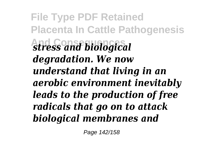**File Type PDF Retained Placenta In Cattle Pathogenesis And Consequences** *stress and biological degradation. We now understand that living in an aerobic environment inevitably leads to the production of free radicals that go on to attack biological membranes and*

Page 142/158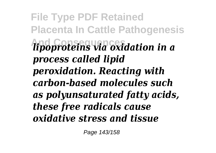**File Type PDF Retained Placenta In Cattle Pathogenesis And Consequences** *lipoproteins via oxidation in a process called lipid peroxidation. Reacting with carbon-based molecules such as polyunsaturated fatty acids, these free radicals cause oxidative stress and tissue*

Page 143/158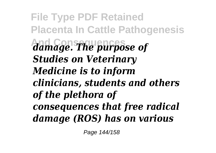**File Type PDF Retained Placenta In Cattle Pathogenesis And Consequences** *damage. The purpose of Studies on Veterinary Medicine is to inform clinicians, students and others of the plethora of consequences that free radical damage (ROS) has on various*

Page 144/158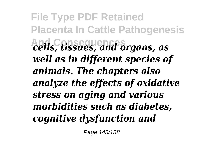**File Type PDF Retained Placenta In Cattle Pathogenesis And Consequences** *cells, tissues, and organs, as well as in different species of animals. The chapters also analyze the effects of oxidative stress on aging and various morbidities such as diabetes, cognitive dysfunction and*

Page 145/158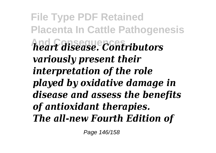**File Type PDF Retained Placenta In Cattle Pathogenesis And Consequences** *heart disease. Contributors variously present their interpretation of the role played by oxidative damage in disease and assess the benefits of antioxidant therapies. The all-new Fourth Edition of*

Page 146/158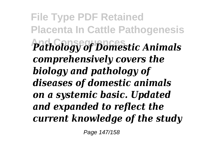**File Type PDF Retained Placenta In Cattle Pathogenesis Pathology of Domestic Animals** *comprehensively covers the biology and pathology of diseases of domestic animals on a systemic basic. Updated and expanded to reflect the current knowledge of the study*

Page 147/158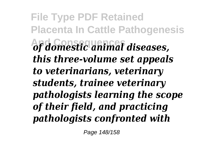**File Type PDF Retained Placenta In Cattle Pathogenesis And Consequences** *of domestic animal diseases, this three-volume set appeals to veterinarians, veterinary students, trainee veterinary pathologists learning the scope of their field, and practicing pathologists confronted with*

Page 148/158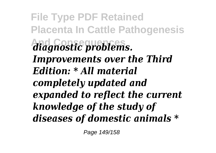**File Type PDF Retained Placenta In Cattle Pathogenesis And Consequences** *diagnostic problems. Improvements over the Third Edition: \* All material completely updated and expanded to reflect the current knowledge of the study of diseases of domestic animals \**

Page 149/158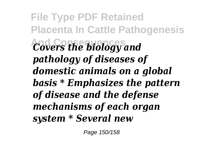**File Type PDF Retained Placenta In Cattle Pathogenesis And Consequences** *Covers the biology and pathology of diseases of domestic animals on a global basis \* Emphasizes the pattern of disease and the defense mechanisms of each organ system \* Several new*

Page 150/158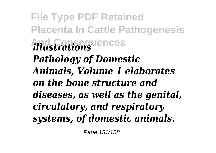**File Type PDF Retained Placenta In Cattle Pathogenesis And Consequences** *illustrations Pathology of Domestic Animals, Volume 1 elaborates on the bone structure and diseases, as well as the genital, circulatory, and respiratory systems, of domestic animals.*

Page 151/158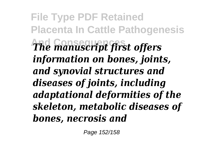**File Type PDF Retained Placenta In Cattle Pathogenesis And Consequences** *The manuscript first offers information on bones, joints, and synovial structures and diseases of joints, including adaptational deformities of the skeleton, metabolic diseases of bones, necrosis and*

Page 152/158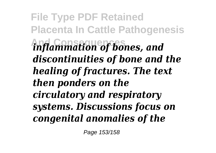**File Type PDF Retained Placenta In Cattle Pathogenesis And Consequences** *inflammation of bones, and discontinuities of bone and the healing of fractures. The text then ponders on the circulatory and respiratory systems. Discussions focus on congenital anomalies of the*

Page 153/158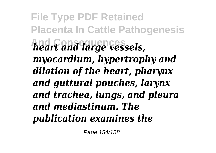**File Type PDF Retained Placenta In Cattle Pathogenesis And Consequences** *heart and large vessels, myocardium, hypertrophy and dilation of the heart, pharynx and guttural pouches, larynx and trachea, lungs, and pleura and mediastinum. The publication examines the*

Page 154/158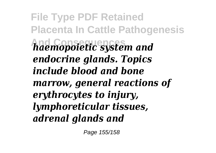**File Type PDF Retained Placenta In Cattle Pathogenesis And Consequences** *haemopoietic system and endocrine glands. Topics include blood and bone marrow, general reactions of erythrocytes to injury, lymphoreticular tissues, adrenal glands and*

Page 155/158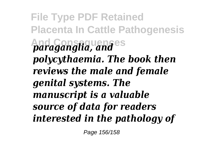**File Type PDF Retained Placenta In Cattle Pathogenesis And Consequences** *paraganglia, and polycythaemia. The book then reviews the male and female genital systems. The manuscript is a valuable source of data for readers interested in the pathology of*

Page 156/158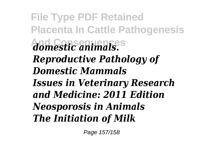**File Type PDF Retained Placenta In Cattle Pathogenesis And Consequences** *domestic animals. Reproductive Pathology of Domestic Mammals Issues in Veterinary Research and Medicine: 2011 Edition Neosporosis in Animals The Initiation of Milk*

Page 157/158